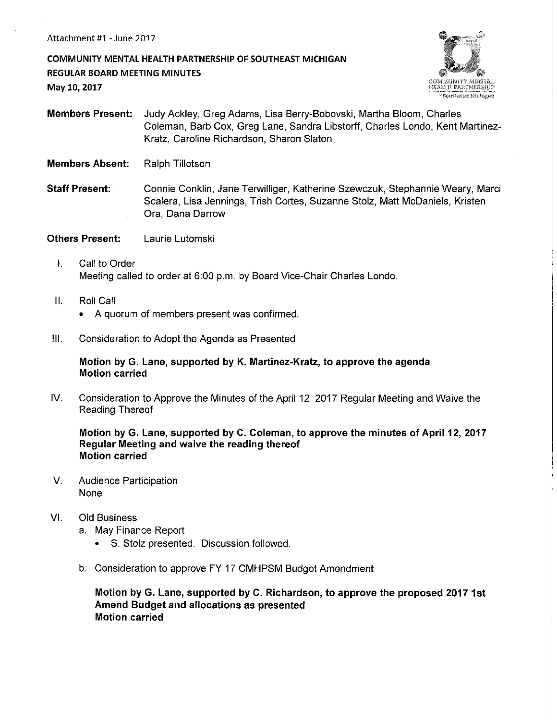COMMUNITY MENTAL HEALTH PARTNERSHIP OF SOUTHEAST MICHIGAN REGULAR BOARD MEETING MINUTES May 10, 2017



Members Present: Judy Ackley, Greg Adams, Lisa Berry-Bobovski, Martha Bloom, Charles Coleman, Barb Cox, Greg Lane, Sandra Libstorff, Charles Londo, Kent Martinez-Kratz, Caroline Richardson, Sharon Slaton

- Members Absent: Ralph Tillotson
- Staff Present: Connie Conklin, Jane Terwilliger, Katherine Szewczuk, Stephannie Weary, Marci Scalera, Lisa Jennings, Trish Cortes, Suzanne Stolz, Matt McDaniels, Kristen Ora, Dana Darrow
- **Others Present:** Laurie Lutomski
	- I. Call to Order Meeting called to order at 6:00 p.m. by Board Vice-Chair Charles Londo.
	- II. Roll Call
		- A quorum of members present was confirmed.
- Ill. Consideration to Adopt the Agenda as Presented

### Motion by G. Lane, supported by K. Martinez-Kratz, to approve the agenda Motion carried

IV. Consideration to Approve the Minutes of the April 12, 2017 Regular Meeting and Waive the Reading Thereof

Motion by G. Lane, supported by C. Coleman, to approve the minutes of April 12, 2017 Regular Meeting and waive the reading thereof Motion carried

- V. Audience Participation None
- VI. Old Business
	- a. May Finance Report
		- S. Stolz presented. Discussion followed.
	- b. Consideration to approve FY 17 CMHPSM Budget Amendment

Motion by G. Lane, supported by C. Richardson, to approve the proposed 2017 1st Amend Budget and allocations as presented Motion carried